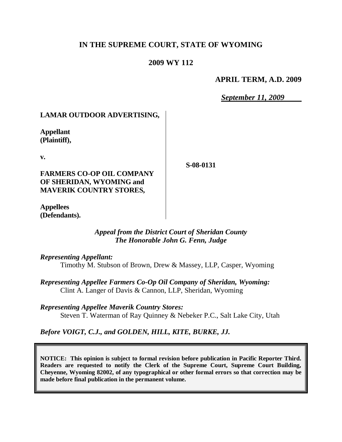# **IN THE SUPREME COURT, STATE OF WYOMING**

# **2009 WY 112**

#### **APRIL TERM, A.D. 2009**

*September 11, 2009*

## **LAMAR OUTDOOR ADVERTISING,**

**Appellant (Plaintiff),**

**v.**

**FARMERS CO-OP OIL COMPANY OF SHERIDAN, WYOMING and MAVERIK COUNTRY STORES,**

**S-08-0131**

**Appellees (Defendants).**

#### *Appeal from the District Court of Sheridan County The Honorable John G. Fenn, Judge*

*Representing Appellant:*

Timothy M. Stubson of Brown, Drew & Massey, LLP, Casper, Wyoming

*Representing Appellee Farmers Co-Op Oil Company of Sheridan, Wyoming:* Clint A. Langer of Davis & Cannon, LLP, Sheridan, Wyoming

*Representing Appellee Maverik Country Stores:* Steven T. Waterman of Ray Quinney & Nebeker P.C., Salt Lake City, Utah

*Before VOIGT, C.J., and GOLDEN, HILL, KITE, BURKE, JJ.*

**NOTICE: This opinion is subject to formal revision before publication in Pacific Reporter Third. Readers are requested to notify the Clerk of the Supreme Court, Supreme Court Building, Cheyenne, Wyoming 82002, of any typographical or other formal errors so that correction may be made before final publication in the permanent volume.**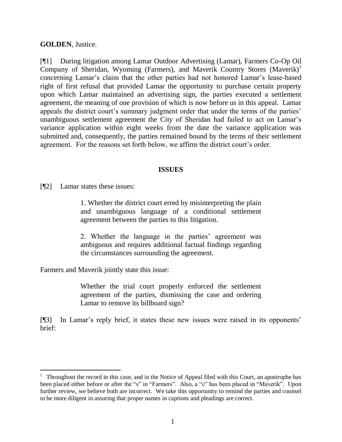**GOLDEN**, Justice.

[¶1] During litigation among Lamar Outdoor Advertising (Lamar), Farmers Co-Op Oil Company of Sheridan, Wyoming (Farmers), and Maverik Country Stores (Maverik)<sup>1</sup> concerning Lamar's claim that the other parties had not honored Lamar's lease-based right of first refusal that provided Lamar the opportunity to purchase certain property upon which Lamar maintained an advertising sign, the parties executed a settlement agreement, the meaning of one provision of which is now before us in this appeal. Lamar appeals the district court's summary judgment order that under the terms of the parties' unambiguous settlement agreement the City of Sheridan had failed to act on Lamar's variance application within eight weeks from the date the variance application was submitted and, consequently, the parties remained bound by the terms of their settlement agreement. For the reasons set forth below, we affirm the district court's order.

#### **ISSUES**

[¶2] Lamar states these issues:

 $\overline{a}$ 

1. Whether the district court erred by misinterpreting the plain and unambiguous language of a conditional settlement agreement between the parties to this litigation.

2. Whether the language in the parties' agreement was ambiguous and requires additional factual findings regarding the circumstances surrounding the agreement.

Farmers and Maverik jointly state this issue:

Whether the trial court properly enforced the settlement agreement of the parties, dismissing the case and ordering Lamar to remove its billboard sign?

[¶3] In Lamar's reply brief, it states these new issues were raised in its opponents' brief:

<sup>1</sup> Throughout the record in this case, and in the Notice of Appeal filed with this Court, an apostrophe has been placed either before or after the "s" in "Farmers". Also, a "c" has been placed in "Maverik". Upon further review, we believe both are incorrect. We take this opportunity to remind the parties and counsel to be more diligent in assuring that proper names in captions and pleadings are correct.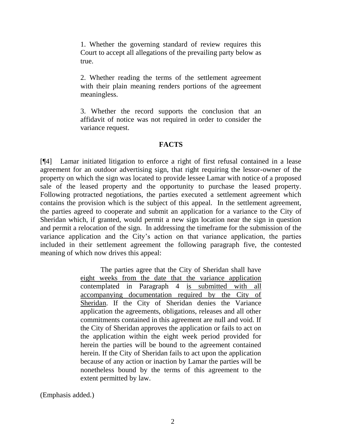1. Whether the governing standard of review requires this Court to accept all allegations of the prevailing party below as true.

2. Whether reading the terms of the settlement agreement with their plain meaning renders portions of the agreement meaningless.

3. Whether the record supports the conclusion that an affidavit of notice was not required in order to consider the variance request.

## **FACTS**

[¶4] Lamar initiated litigation to enforce a right of first refusal contained in a lease agreement for an outdoor advertising sign, that right requiring the lessor-owner of the property on which the sign was located to provide lessee Lamar with notice of a proposed sale of the leased property and the opportunity to purchase the leased property. Following protracted negotiations, the parties executed a settlement agreement which contains the provision which is the subject of this appeal. In the settlement agreement, the parties agreed to cooperate and submit an application for a variance to the City of Sheridan which, if granted, would permit a new sign location near the sign in question and permit a relocation of the sign. In addressing the timeframe for the submission of the variance application and the City's action on that variance application, the parties included in their settlement agreement the following paragraph five, the contested meaning of which now drives this appeal:

> The parties agree that the City of Sheridan shall have eight weeks from the date that the variance application contemplated in Paragraph 4 is submitted with all accompanying documentation required by the City of Sheridan. If the City of Sheridan denies the Variance application the agreements, obligations, releases and all other commitments contained in this agreement are null and void. If the City of Sheridan approves the application or fails to act on the application within the eight week period provided for herein the parties will be bound to the agreement contained herein. If the City of Sheridan fails to act upon the application because of any action or inaction by Lamar the parties will be nonetheless bound by the terms of this agreement to the extent permitted by law.

(Emphasis added.)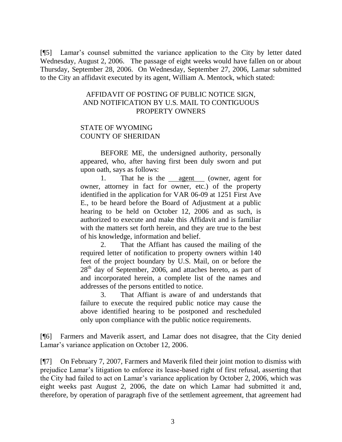[¶5] Lamar's counsel submitted the variance application to the City by letter dated Wednesday, August 2, 2006. The passage of eight weeks would have fallen on or about Thursday, September 28, 2006. On Wednesday, September 27, 2006, Lamar submitted to the City an affidavit executed by its agent, William A. Mentock, which stated:

#### AFFIDAVIT OF POSTING OF PUBLIC NOTICE SIGN, AND NOTIFICATION BY U.S. MAIL TO CONTIGUOUS PROPERTY OWNERS

## STATE OF WYOMING COUNTY OF SHERIDAN

BEFORE ME, the undersigned authority, personally appeared, who, after having first been duly sworn and put upon oath, says as follows:

1. That he is the agent (owner, agent for owner, attorney in fact for owner, etc.) of the property identified in the application for VAR 06-09 at 1251 First Ave E., to be heard before the Board of Adjustment at a public hearing to be held on October 12, 2006 and as such, is authorized to execute and make this Affidavit and is familiar with the matters set forth herein, and they are true to the best of his knowledge, information and belief.

2. That the Affiant has caused the mailing of the required letter of notification to property owners within 140 feet of the project boundary by U.S. Mail, on or before the  $28<sup>th</sup>$  day of September, 2006, and attaches hereto, as part of and incorporated herein, a complete list of the names and addresses of the persons entitled to notice.

3. That Affiant is aware of and understands that failure to execute the required public notice may cause the above identified hearing to be postponed and rescheduled only upon compliance with the public notice requirements.

[¶6] Farmers and Maverik assert, and Lamar does not disagree, that the City denied Lamar's variance application on October 12, 2006.

[¶7] On February 7, 2007, Farmers and Maverik filed their joint motion to dismiss with prejudice Lamar's litigation to enforce its lease-based right of first refusal, asserting that the City had failed to act on Lamar's variance application by October 2, 2006, which was eight weeks past August 2, 2006, the date on which Lamar had submitted it and, therefore, by operation of paragraph five of the settlement agreement, that agreement had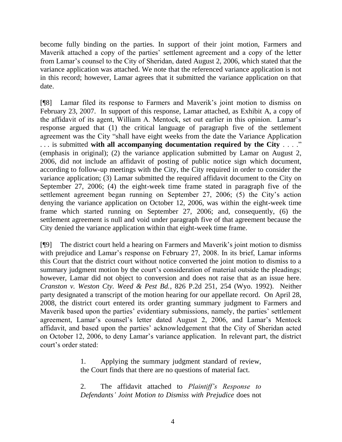become fully binding on the parties. In support of their joint motion, Farmers and Maverik attached a copy of the parties' settlement agreement and a copy of the letter from Lamar's counsel to the City of Sheridan, dated August 2, 2006, which stated that the variance application was attached. We note that the referenced variance application is not in this record; however, Lamar agrees that it submitted the variance application on that date.

[¶8] Lamar filed its response to Farmers and Maverik's joint motion to dismiss on February 23, 2007. In support of this response, Lamar attached, as Exhibit A, a copy of the affidavit of its agent, William A. Mentock, set out earlier in this opinion. Lamar's response argued that (1) the critical language of paragraph five of the settlement agreement was the City "shall have eight weeks from the date the Variance Application . . . is submitted **with all accompanying documentation required by the City** . . . ." (emphasis in original); (2) the variance application submitted by Lamar on August 2, 2006, did not include an affidavit of posting of public notice sign which document, according to follow-up meetings with the City, the City required in order to consider the variance application; (3) Lamar submitted the required affidavit document to the City on September 27, 2006; (4) the eight-week time frame stated in paragraph five of the settlement agreement began running on September 27, 2006; (5) the City's action denying the variance application on October 12, 2006, was within the eight-week time frame which started running on September 27, 2006; and, consequently, (6) the settlement agreement is null and void under paragraph five of that agreement because the City denied the variance application within that eight-week time frame.

[¶9] The district court held a hearing on Farmers and Maverik's joint motion to dismiss with prejudice and Lamar's response on February 27, 2008. In its brief, Lamar informs this Court that the district court without notice converted the joint motion to dismiss to a summary judgment motion by the court's consideration of material outside the pleadings; however, Lamar did not object to conversion and does not raise that as an issue here. *Cranston v. Weston Cty. Weed & Pest Bd.*, 826 P.2d 251, 254 (Wyo. 1992). Neither party designated a transcript of the motion hearing for our appellate record. On April 28, 2008, the district court entered its order granting summary judgment to Farmers and Maverik based upon the parties' evidentiary submissions, namely, the parties' settlement agreement, Lamar's counsel's letter dated August 2, 2006, and Lamar's Mentock affidavit, and based upon the parties' acknowledgement that the City of Sheridan acted on October 12, 2006, to deny Lamar's variance application. In relevant part, the district court's order stated:

> 1. Applying the summary judgment standard of review, the Court finds that there are no questions of material fact.

> 2. The affidavit attached to *Plaintiff's Response to Defendants' Joint Motion to Dismiss with Prejudice* does not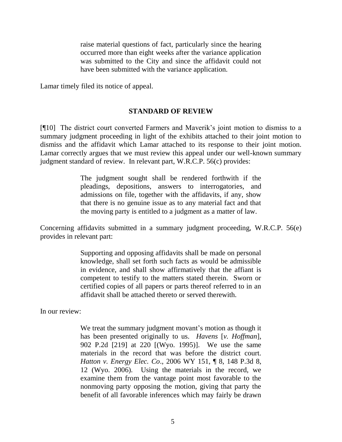raise material questions of fact, particularly since the hearing occurred more than eight weeks after the variance application was submitted to the City and since the affidavit could not have been submitted with the variance application.

Lamar timely filed its notice of appeal.

#### **STANDARD OF REVIEW**

[¶10] The district court converted Farmers and Maverik's joint motion to dismiss to a summary judgment proceeding in light of the exhibits attached to their joint motion to dismiss and the affidavit which Lamar attached to its response to their joint motion. Lamar correctly argues that we must review this appeal under our well-known summary judgment standard of review. In relevant part, W.R.C.P. 56(c) provides:

> The judgment sought shall be rendered forthwith if the pleadings, depositions, answers to interrogatories, and admissions on file, together with the affidavits, if any, show that there is no genuine issue as to any material fact and that the moving party is entitled to a judgment as a matter of law.

Concerning affidavits submitted in a summary judgment proceeding, W.R.C.P. 56(e) provides in relevant part:

> Supporting and opposing affidavits shall be made on personal knowledge, shall set forth such facts as would be admissible in evidence, and shall show affirmatively that the affiant is competent to testify to the matters stated therein. Sworn or certified copies of all papers or parts thereof referred to in an affidavit shall be attached thereto or served therewith.

In our review:

We treat the summary judgment movant's motion as though it has been presented originally to us. *Havens* [*v. Hoffman*]*,* 902 P.2d [219] at 220 [(Wyo. 1995)]. We use the same materials in the record that was before the district court. *Hatton v. Energy Elec. Co*., 2006 WY 151, ¶ 8, 148 P.3d 8, 12 (Wyo. 2006). Using the materials in the record, we examine them from the vantage point most favorable to the nonmoving party opposing the motion, giving that party the benefit of all favorable inferences which may fairly be drawn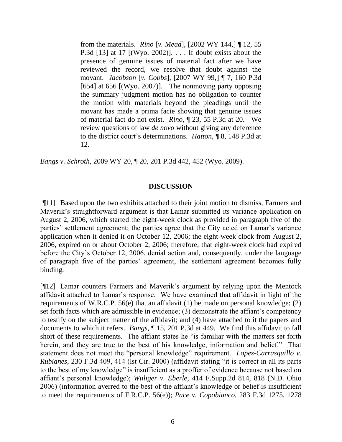from the materials. *Rino* [*v. Mead*], [2002 WY 144,] ¶ 12, 55 P.3d [13] at 17 [(Wyo. 2002)]. . . . If doubt exists about the presence of genuine issues of material fact after we have reviewed the record, we resolve that doubt against the movant. *Jacobson* [*v. Cobbs*], [2007 WY 99,] ¶ 7, 160 P.3d [654] at 656 [(Wyo. 2007)]. The nonmoving party opposing the summary judgment motion has no obligation to counter the motion with materials beyond the pleadings until the movant has made a prima facie showing that genuine issues of material fact do not exist. *Rino*, ¶ 23, 55 P.3d at 20. We review questions of law *de novo* without giving any deference to the district court's determinations. *Hatton*, ¶ 8, 148 P.3d at 12.

*Bangs v. Schroth*, 2009 WY 20, ¶ 20, 201 P.3d 442, 452 (Wyo. 2009).

## **DISCUSSION**

[¶11] Based upon the two exhibits attached to their joint motion to dismiss, Farmers and Maverik's straightforward argument is that Lamar submitted its variance application on August 2, 2006, which started the eight-week clock as provided in paragraph five of the parties' settlement agreement; the parties agree that the City acted on Lamar's variance application when it denied it on October 12, 2006; the eight-week clock from August 2, 2006, expired on or about October 2, 2006; therefore, that eight-week clock had expired before the City's October 12, 2006, denial action and, consequently, under the language of paragraph five of the parties' agreement, the settlement agreement becomes fully binding.

[¶12] Lamar counters Farmers and Maverik's argument by relying upon the Mentock affidavit attached to Lamar's response. We have examined that affidavit in light of the requirements of W.R.C.P. 56(e) that an affidavit (1) be made on personal knowledge; (2) set forth facts which are admissible in evidence; (3) demonstrate the affiant's competency to testify on the subject matter of the affidavit; and (4) have attached to it the papers and documents to which it refers. *Bangs*, ¶ 15, 201 P.3d at 449. We find this affidavit to fall short of these requirements. The affiant states he "is familiar with the matters set forth herein, and they are true to the best of his knowledge, information and belief." That statement does not meet the "personal knowledge" requirement. *Lopez-Carrasquillo v. Rubianes*, 230 F.3d 409, 414 (lst Cir. 2000) (affidavit stating "it is correct in all its parts to the best of my knowledge" is insufficient as a proffer of evidence because not based on affiant's personal knowledge); *Wuliger v. Eberle*, 414 F.Supp.2d 814, 818 (N.D. Ohio 2006) (information averred to the best of the affiant's knowledge or belief is insufficient to meet the requirements of F.R.C.P. 56(e)); *Pace v. Copobianco*, 283 F.3d 1275, 1278